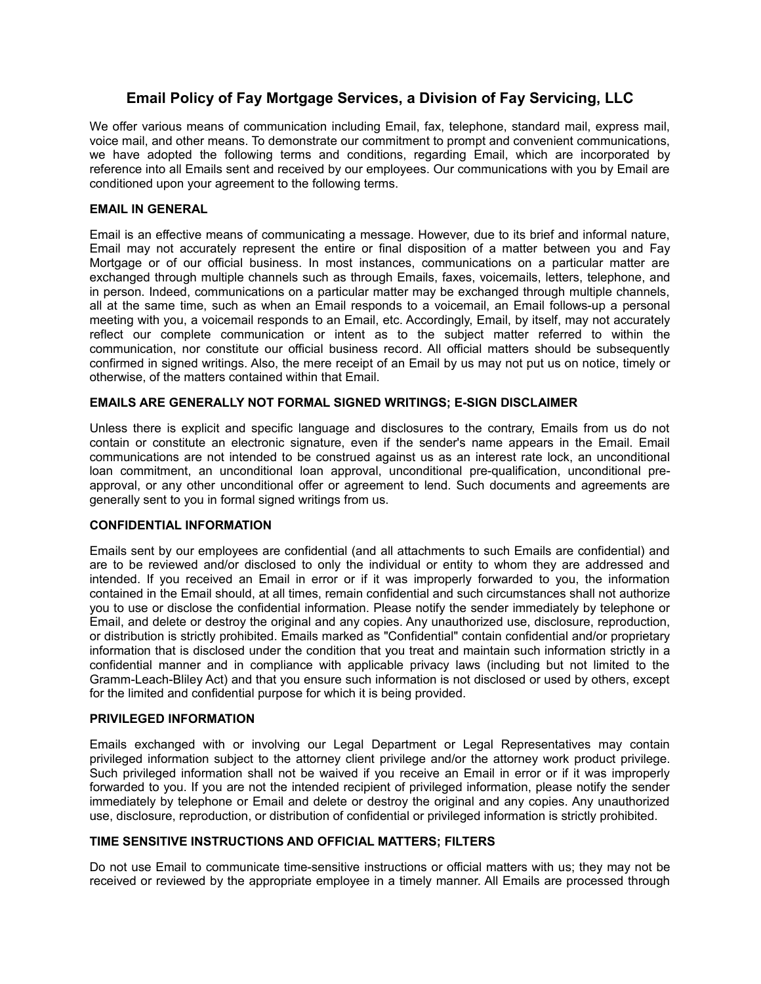# **Email Policy of Fay Mortgage Services, a Division of Fay Servicing, LLC**

We offer various means of communication including Email, fax, telephone, standard mail, express mail, voice mail, and other means. To demonstrate our commitment to prompt and convenient communications, we have adopted the following terms and conditions, regarding Email, which are incorporated by reference into all Emails sent and received by our employees. Our communications with you by Email are conditioned upon your agreement to the following terms.

### **EMAIL IN GENERAL**

Email is an effective means of communicating a message. However, due to its brief and informal nature, Email may not accurately represent the entire or final disposition of a matter between you and Fay Mortgage or of our official business. In most instances, communications on a particular matter are exchanged through multiple channels such as through Emails, faxes, voicemails, letters, telephone, and in person. Indeed, communications on a particular matter may be exchanged through multiple channels, all at the same time, such as when an Email responds to a voicemail, an Email follows-up a personal meeting with you, a voicemail responds to an Email, etc. Accordingly, Email, by itself, may not accurately reflect our complete communication or intent as to the subject matter referred to within the communication, nor constitute our official business record. All official matters should be subsequently confirmed in signed writings. Also, the mere receipt of an Email by us may not put us on notice, timely or otherwise, of the matters contained within that Email.

# **EMAILS ARE GENERALLY NOT FORMAL SIGNED WRITINGS; E-SIGN DISCLAIMER**

Unless there is explicit and specific language and disclosures to the contrary, Emails from us do not contain or constitute an electronic signature, even if the sender's name appears in the Email. Email communications are not intended to be construed against us as an interest rate lock, an unconditional loan commitment, an unconditional loan approval, unconditional pre-qualification, unconditional preapproval, or any other unconditional offer or agreement to lend. Such documents and agreements are generally sent to you in formal signed writings from us.

### **CONFIDENTIAL INFORMATION**

Emails sent by our employees are confidential (and all attachments to such Emails are confidential) and are to be reviewed and/or disclosed to only the individual or entity to whom they are addressed and intended. If you received an Email in error or if it was improperly forwarded to you, the information contained in the Email should, at all times, remain confidential and such circumstances shall not authorize you to use or disclose the confidential information. Please notify the sender immediately by telephone or Email, and delete or destroy the original and any copies. Any unauthorized use, disclosure, reproduction, or distribution is strictly prohibited. Emails marked as "Confidential" contain confidential and/or proprietary information that is disclosed under the condition that you treat and maintain such information strictly in a confidential manner and in compliance with applicable privacy laws (including but not limited to the Gramm-Leach-Bliley Act) and that you ensure such information is not disclosed or used by others, except for the limited and confidential purpose for which it is being provided.

### **PRIVILEGED INFORMATION**

Emails exchanged with or involving our Legal Department or Legal Representatives may contain privileged information subject to the attorney client privilege and/or the attorney work product privilege. Such privileged information shall not be waived if you receive an Email in error or if it was improperly forwarded to you. If you are not the intended recipient of privileged information, please notify the sender immediately by telephone or Email and delete or destroy the original and any copies. Any unauthorized use, disclosure, reproduction, or distribution of confidential or privileged information is strictly prohibited.

# **TIME SENSITIVE INSTRUCTIONS AND OFFICIAL MATTERS; FILTERS**

Do not use Email to communicate time-sensitive instructions or official matters with us; they may not be received or reviewed by the appropriate employee in a timely manner. All Emails are processed through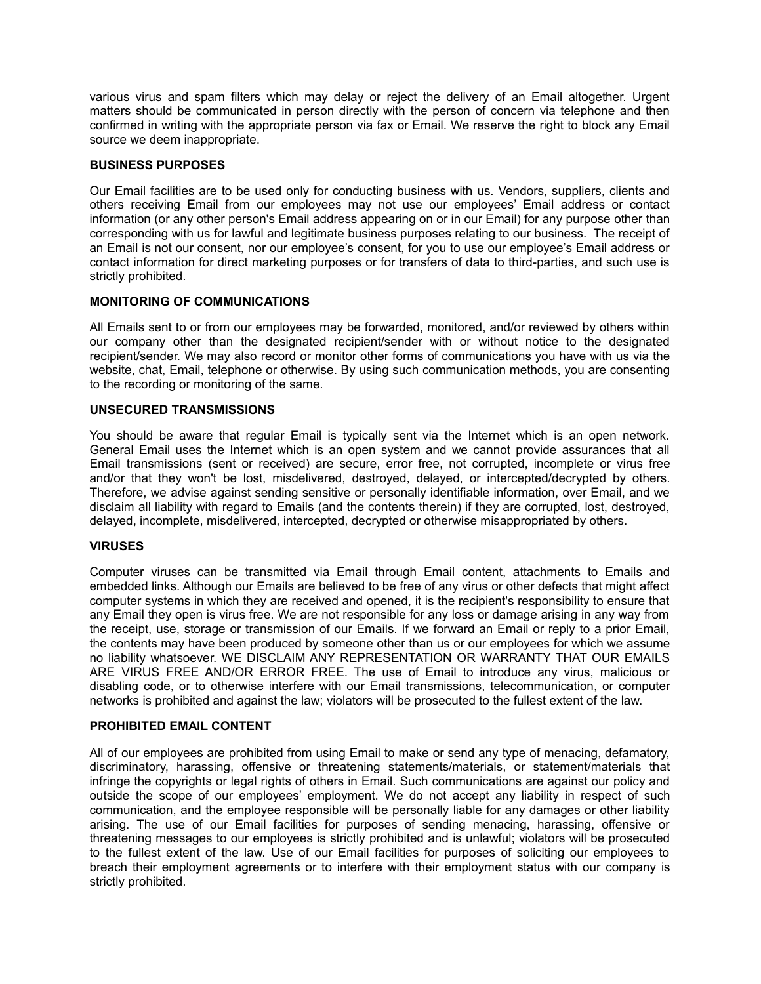various virus and spam filters which may delay or reject the delivery of an Email altogether. Urgent matters should be communicated in person directly with the person of concern via telephone and then confirmed in writing with the appropriate person via fax or Email. We reserve the right to block any Email source we deem inappropriate.

# **BUSINESS PURPOSES**

Our Email facilities are to be used only for conducting business with us. Vendors, suppliers, clients and others receiving Email from our employees may not use our employees' Email address or contact information (or any other person's Email address appearing on or in our Email) for any purpose other than corresponding with us for lawful and legitimate business purposes relating to our business. The receipt of an Email is not our consent, nor our employee's consent, for you to use our employee's Email address or contact information for direct marketing purposes or for transfers of data to third-parties, and such use is strictly prohibited.

# **MONITORING OF COMMUNICATIONS**

All Emails sent to or from our employees may be forwarded, monitored, and/or reviewed by others within our company other than the designated recipient/sender with or without notice to the designated recipient/sender. We may also record or monitor other forms of communications you have with us via the website, chat, Email, telephone or otherwise. By using such communication methods, you are consenting to the recording or monitoring of the same.

# **UNSECURED TRANSMISSIONS**

You should be aware that regular Email is typically sent via the Internet which is an open network. General Email uses the Internet which is an open system and we cannot provide assurances that all Email transmissions (sent or received) are secure, error free, not corrupted, incomplete or virus free and/or that they won't be lost, misdelivered, destroyed, delayed, or intercepted/decrypted by others. Therefore, we advise against sending sensitive or personally identifiable information, over Email, and we disclaim all liability with regard to Emails (and the contents therein) if they are corrupted, lost, destroyed, delayed, incomplete, misdelivered, intercepted, decrypted or otherwise misappropriated by others.

### **VIRUSES**

Computer viruses can be transmitted via Email through Email content, attachments to Emails and embedded links. Although our Emails are believed to be free of any virus or other defects that might affect computer systems in which they are received and opened, it is the recipient's responsibility to ensure that any Email they open is virus free. We are not responsible for any loss or damage arising in any way from the receipt, use, storage or transmission of our Emails. If we forward an Email or reply to a prior Email, the contents may have been produced by someone other than us or our employees for which we assume no liability whatsoever. WE DISCLAIM ANY REPRESENTATION OR WARRANTY THAT OUR EMAILS ARE VIRUS FREE AND/OR ERROR FREE. The use of Email to introduce any virus, malicious or disabling code, or to otherwise interfere with our Email transmissions, telecommunication, or computer networks is prohibited and against the law; violators will be prosecuted to the fullest extent of the law.

### **PROHIBITED EMAIL CONTENT**

All of our employees are prohibited from using Email to make or send any type of menacing, defamatory, discriminatory, harassing, offensive or threatening statements/materials, or statement/materials that infringe the copyrights or legal rights of others in Email. Such communications are against our policy and outside the scope of our employees' employment. We do not accept any liability in respect of such communication, and the employee responsible will be personally liable for any damages or other liability arising. The use of our Email facilities for purposes of sending menacing, harassing, offensive or threatening messages to our employees is strictly prohibited and is unlawful; violators will be prosecuted to the fullest extent of the law. Use of our Email facilities for purposes of soliciting our employees to breach their employment agreements or to interfere with their employment status with our company is strictly prohibited.